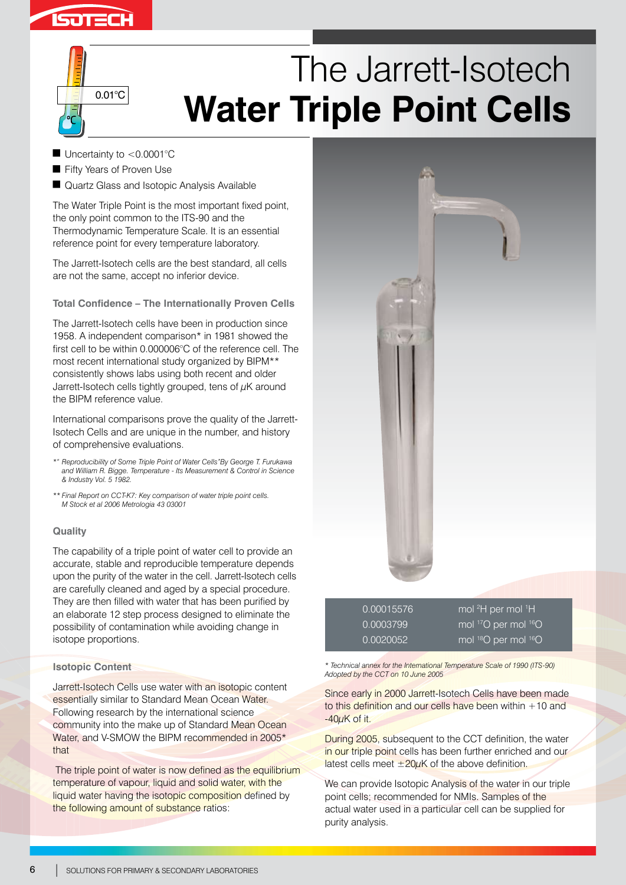



 $\blacksquare$  Uncertainty to <0.0001°C

0.01°C

- Fifty Years of Proven Use
- **Quartz Glass and Isotopic Analysis Available**

The Water Triple Point is the most important fixed point, the only point common to the ITS-90 and the Thermodynamic Temperature Scale. It is an essential reference point for every temperature laboratory.

The Jarrett-Isotech cells are the best standard, all cells are not the same, accept no inferior device.

**Total Confidence – The Internationally Proven Cells**

The Jarrett-Isotech cells have been in production since 1958. A independent comparison\* in 1981 showed the first cell to be within 0.000006°C of the reference cell. The most recent international study organized by BIPM\*\* consistently shows labs using both recent and older Jarrett-Isotech cells tightly grouped, tens of  $\mu$ K around the BIPM reference value.

International comparisons prove the quality of the Jarrett-Isotech Cells and are unique in the number, and history of comprehensive evaluations.

- *\*" Reproducibility of Some Triple Point of Water Cells"By George T. Furukawa and William R. Bigge. Temperature - Its Measurement & Control in Science & Industry Vol. 5 1982.*
- *\*\* Final Report on CCT-K7: Key comparison of water triple point cells. M Stock et al 2006 Metrologia 43 03001*

# **Quality**

The capability of a triple point of water cell to provide an accurate, stable and reproducible temperature depends upon the purity of the water in the cell. Jarrett-Isotech cells are carefully cleaned and aged by a special procedure. They are then filled with water that has been purified by an elaborate 12 step process designed to eliminate the possibility of contamination while avoiding change in isotope proportions.

### **Isotopic Content**

Jarrett-Isotech Cells use water with an isotopic content essentially similar to Standard Mean Ocean Water. Following research by the international science community into the make up of Standard Mean Ocean Water, and V-SMOW the BIPM recommended in 2005<sup>\*</sup> that

The triple point of water is now defined as the equilibrium temperature of vapour, liquid and solid water, with the liquid water having the isotopic composition defined by the following amount of substance ratios:



| 0.00015576 | mol <sup>2</sup> H per mol <sup>1</sup> H <sup>1</sup> |
|------------|--------------------------------------------------------|
| 0.0003799  | mol <sup>17</sup> O per mol <sup>16</sup> O            |
| 0.0020052  | mol <sup>18</sup> O per mol <sup>16</sup> O            |

*\* Technical annex for the International Temperature Scale of 1990 (ITS-90) Adopted by the CCT on 10 June 2005*

Since early in 2000 Jarrett-Isotech Cells have been made to this definition and our cells have been within  $+10$  and -40µK of it.

During 2005, subsequent to the CCT definition, the water in our triple point cells has been further enriched and our latest cells meet  $\pm 20\mu$ K of the above definition.

We can provide Isotopic Analysis of the water in our triple point cells; recommended for NMIs. Samples of the actual water used in a particular cell can be supplied for purity analysis.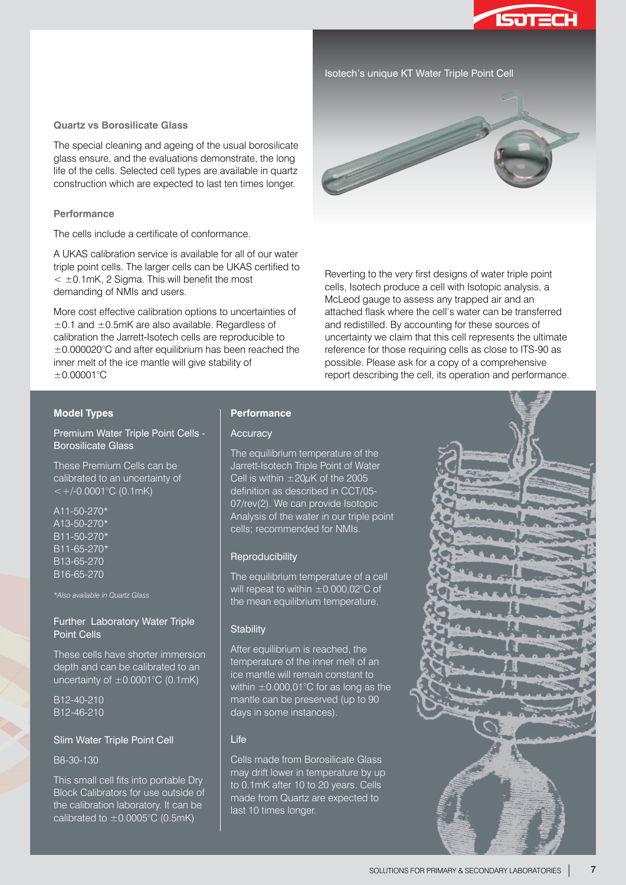

### Isotech's unique KT Water Triple Point Cell

#### **Quartz vs Borosilicate Glass**

The special cleaning and ageing of the usual borosilicate glass ensure, and the evaluations demonstrate, the long life of the cells. Selected cell types are available in quartz construction which are expected to last ten times longer.

### **Performance**

The cells include a certificate of conformance.

A UKAS calibration service is available for all of our water triple point cells. The larger cells can be UKAS certified to  $<$   $\pm$ 0.1mK, 2 Sigma. This will benefit the most demanding of NMIs and users.

More cost effective calibration options to uncertainties of  $\pm$ 0.1 and  $\pm$ 0.5mK are also available. Regardless of calibration the Jarrett-Isotech cells are reproducible to ±0.000020°C and after equilibrium has been reached the inner melt of the ice mantle will give stability of ±0.00001°C



Reverting to the very first designs of water triple point cells, Isotech produce a cell with Isotopic analysis, a McLeod gauge to assess any trapped air and an attached flask where the cell's water can be transferred and redistilled. By accounting for these sources of uncertainty we claim that this cell represents the ultimate reference for those requiring cells as close to ITS-90 as possible. Please ask for a copy of a comprehensive report describing the cell, its operation and performance.

#### **Model Types**

Premium Water Triple Point Cells - Borosilicate Glass

These Premium Cells can be calibrated to an uncertainty of  $\lt$  +/-0.0001°C (0.1mK)

A11-50-270\* A13-50-270\* B11-50-270\* B11-65-270\* B13-65-270 B16-65-270

*\*Also available in Quartz Glass*

## Further Laboratory Water Triple Point Cells

These cells have shorter immersion depth and can be calibrated to an uncertainty of  $\pm 0.0001$ °C (0.1mK)

B12-40-210 B12-46-210

### Slim Water Triple Point Cell

B8-30-130

This small cell fits into portable Dry Block Calibrators for use outside of the calibration laboratory. It can be calibrated to  $\pm$ 0.0005°C (0.5mK)

## **Performance**

### **Accuracy**

The equilibrium temperature of the Jarrett-Isotech Triple Point of Water Cell is within  $\pm 20 \mu$ K of the 2005 definition as described in CCT/05- 07/rev(2). We can provide Isotopic Analysis of the water in our triple point cells; recommended for NMIs.

#### Reproducibility

The equilibrium temperature of a cell will repeat to within  $\pm 0.000,02^{\circ}$ C of the mean equilibrium temperature.

#### **Stability**

After equilibrium is reached, the temperature of the inner melt of an ice mantle will remain constant to within  $\pm$ 0.000.01°C for as long as the mantle can be preserved (up to 90 days in some instances).

#### Life

Cells made from Borosilicate Glass may drift lower in temperature by up to 0.1mK after 10 to 20 years. Cells made from Quartz are expected to last 10 times longer.